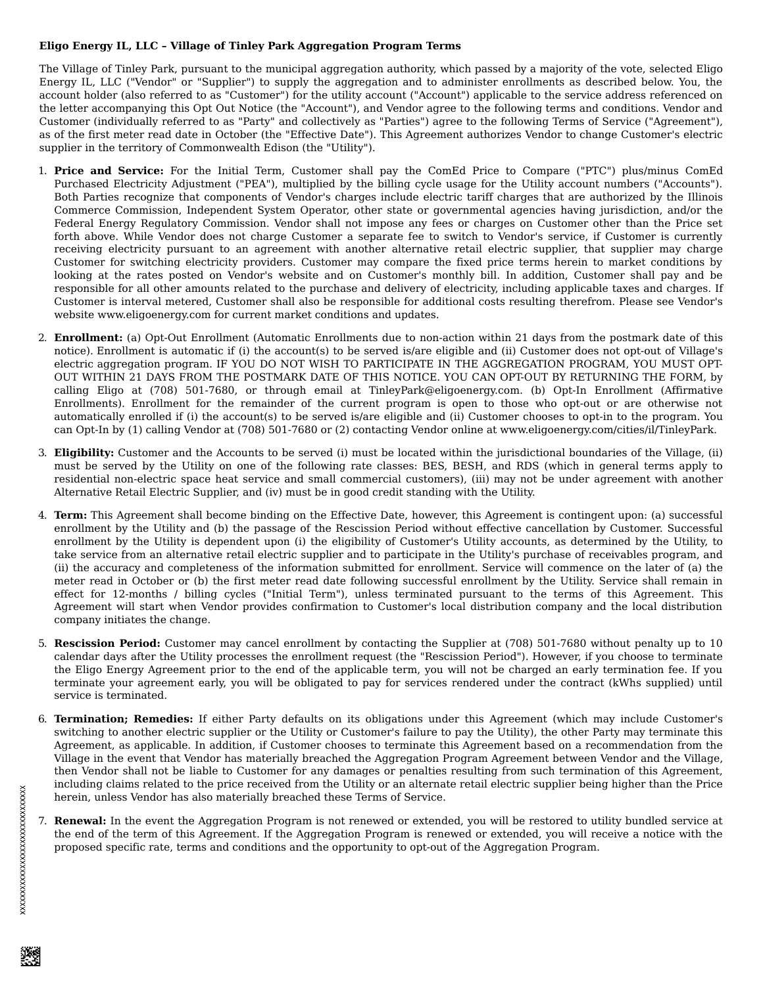## **Eligo Energy IL, LLC – Village of Tinley Park Aggregation Program Terms**

The Village of Tinley Park, pursuant to the municipal aggregation authority, which passed by a majority of the vote, selected Eligo Energy IL, LLC ("Vendor" or "Supplier") to supply the aggregation and to administer enrollments as described below. You, the account holder (also referred to as "Customer") for the utility account ("Account") applicable to the service address referenced on the letter accompanying this Opt Out Notice (the "Account"), and Vendor agree to the following terms and conditions. Vendor and Customer (individually referred to as "Party" and collectively as "Parties") agree to the following Terms of Service ("Agreement"), as of the first meter read date in October (the "Effective Date"). This Agreement authorizes Vendor to change Customer's electric supplier in the territory of Commonwealth Edison (the "Utility").

- 1. **Price and Service:** For the Initial Term, Customer shall pay the ComEd Price to Compare ("PTC") plus/minus ComEd Purchased Electricity Adjustment ("PEA"), multiplied by the billing cycle usage for the Utility account numbers ("Accounts"). Both Parties recognize that components of Vendor's charges include electric tariff charges that are authorized by the Illinois Commerce Commission, Independent System Operator, other state or governmental agencies having jurisdiction, and/or the Federal Energy Regulatory Commission. Vendor shall not impose any fees or charges on Customer other than the Price set forth above. While Vendor does not charge Customer a separate fee to switch to Vendor's service, if Customer is currently receiving electricity pursuant to an agreement with another alternative retail electric supplier, that supplier may charge Customer for switching electricity providers. Customer may compare the fixed price terms herein to market conditions by looking at the rates posted on Vendor's website and on Customer's monthly bill. In addition, Customer shall pay and be responsible for all other amounts related to the purchase and delivery of electricity, including applicable taxes and charges. If Customer is interval metered, Customer shall also be responsible for additional costs resulting therefrom. Please see Vendor's website www.eligoenergy.com for current market conditions and updates.
- 2. **Enrollment:** (a) Opt-Out Enrollment (Automatic Enrollments due to non-action within 21 days from the postmark date of this notice). Enrollment is automatic if (i) the account(s) to be served is/are eligible and (ii) Customer does not opt-out of Village's electric aggregation program. IF YOU DO NOT WISH TO PARTICIPATE IN THE AGGREGATION PROGRAM, YOU MUST OPT-OUT WITHIN 21 DAYS FROM THE POSTMARK DATE OF THIS NOTICE. YOU CAN OPT-OUT BY RETURNING THE FORM, by calling Eligo at (708) 501-7680, or through email at TinleyPark@eligoenergy.com. (b) Opt-In Enrollment (Affirmative Enrollments). Enrollment for the remainder of the current program is open to those who opt-out or are otherwise not automatically enrolled if (i) the account(s) to be served is/are eligible and (ii) Customer chooses to opt-in to the program. You can Opt-In by (1) calling Vendor at (708) 501-7680 or (2) contacting Vendor online at www.eligoenergy.com/cities/il/TinleyPark.
- 3. **Eligibility:** Customer and the Accounts to be served (i) must be located within the jurisdictional boundaries of the Village, (ii) must be served by the Utility on one of the following rate classes: BES, BESH, and RDS (which in general terms apply to residential non-electric space heat service and small commercial customers), (iii) may not be under agreement with another Alternative Retail Electric Supplier, and (iv) must be in good credit standing with the Utility.
- 4. **Term:** This Agreement shall become binding on the Effective Date, however, this Agreement is contingent upon: (a) successful enrollment by the Utility and (b) the passage of the Rescission Period without effective cancellation by Customer. Successful enrollment by the Utility is dependent upon (i) the eligibility of Customer's Utility accounts, as determined by the Utility, to take service from an alternative retail electric supplier and to participate in the Utility's purchase of receivables program, and (ii) the accuracy and completeness of the information submitted for enrollment. Service will commence on the later of (a) the meter read in October or (b) the first meter read date following successful enrollment by the Utility. Service shall remain in effect for 12-months / billing cycles ("Initial Term"), unless terminated pursuant to the terms of this Agreement. This Agreement will start when Vendor provides confirmation to Customer's local distribution company and the local distribution company initiates the change.
- 5. **Rescission Period:** Customer may cancel enrollment by contacting the Supplier at (708) 501-7680 without penalty up to 10 calendar days after the Utility processes the enrollment request (the "Rescission Period"). However, if you choose to terminate the Eligo Energy Agreement prior to the end of the applicable term, you will not be charged an early termination fee. If you terminate your agreement early, you will be obligated to pay for services rendered under the contract (kWhs supplied) until service is terminated.
- 6. **Termination; Remedies:** If either Party defaults on its obligations under this Agreement (which may include Customer's switching to another electric supplier or the Utility or Customer's failure to pay the Utility), the other Party may terminate this Agreement, as applicable. In addition, if Customer chooses to terminate this Agreement based on a recommendation from the Village in the event that Vendor has materially breached the Aggregation Program Agreement between Vendor and the Village, then Vendor shall not be liable to Customer for any damages or penalties resulting from such termination of this Agreement, including claims related to the price received from the Utility or an alternate retail electric supplier being higher than the Price herein, unless Vendor has also materially breached these Terms of Service.
- 7. **Renewal:** In the event the Aggregation Program is not renewed or extended, you will be restored to utility bundled service at the end of the term of this Agreement. If the Aggregation Program is renewed or extended, you will receive a notice with the proposed specific rate, terms and conditions and the opportunity to opt-out of the Aggregation Program.